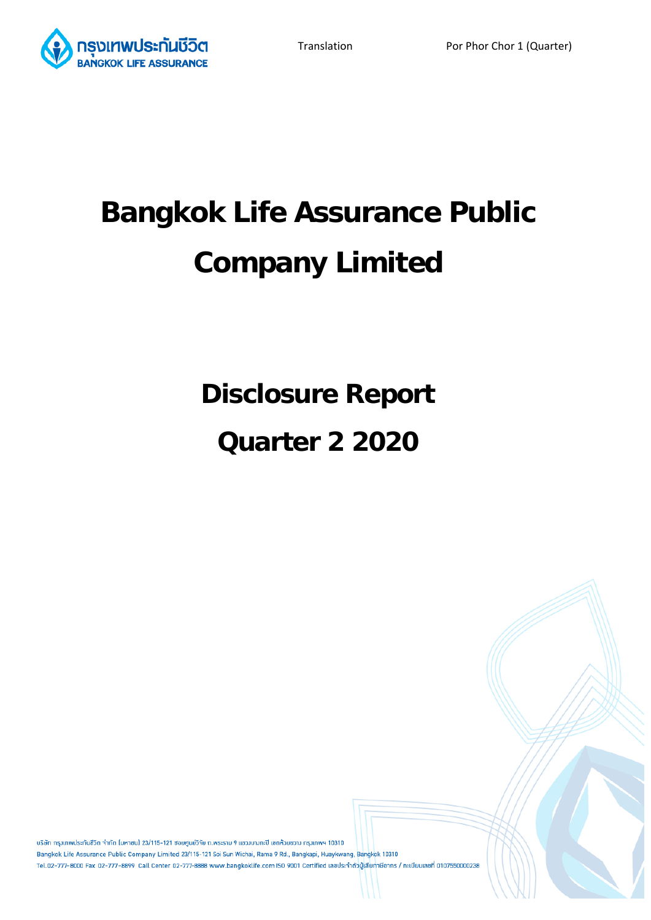

# **Bangkok Life Assurance Public Company Limited**

**Disclosure Report** 

# **Quarter 2 2020**

้บริษัท กรุงเทพประกันชีวิต จำกัด (มหาชน) 23/115-121 ซอยศูนย์วิจัย ถ.พระราม 9 แขวงบางกะปิ เขตห้วยขวาง กรุงเทพฯ 10310 Bangkok Life Assurance Public Company Limited 23/115-121 Soi Sun Wichai, Rama 9 Rd., Bangkapi, Huaykwang, Bangkok 10310 Tel.02-777-8000 Fax 02-777-8899 Call Center 02-777-8888 www.bangkoklife.com ISO 9001 Certified เลขประจำตัวผู้เสียภาษีอากร / ทะเบียนเลขที่ 0107550000238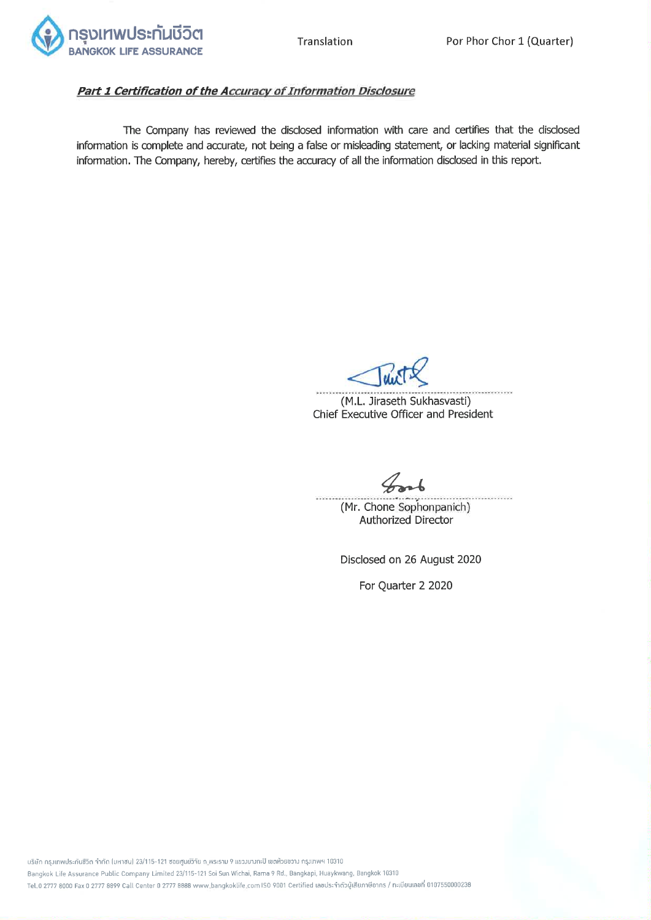

# Part 1 Certification of the Accuracy of Information Disclosure

The Company has reviewed the disclosed information with care and certifies that the disclosed information is complete and accurate, not being a false or misleading statement, or lacking material significant information. The Company, hereby, certifies the accuracy of all the information disclosed in this report.

(M.L. Jiraseth Sukhasvasti) Chief Executive Officer and President

. . . . . . . . . . . . . . . . . . . (Mr. Chone Sophonpanich) Authorized Director

Disclosed on 26 August 2020

For Quarter 2 2020

บริษัท กรุงเทพประกันซีวิต จำกัด (มหาซน) 23/115-121 ซอยศูนย์วิจัย ถ.พระราม 9 แขวงบางกะปิ เขตห้วยขวาง กรุงเทพฯ 10310 Bangkok Life Assurance Public Company Limited 23/115-121 Soi Sun Wichai, Rama 9 Rd., Bangkapi, Huaykwang, Bangkok 10310 Tel.0 2777 8000 Fax 0 2777 8899 Call Center 0 2777 8888 www.bangkoklife.com ISO 9001 Certified เลขประจำดัวผู้เสียภาษีอาทร / ทะเบียนเลขที่ 0107550000238